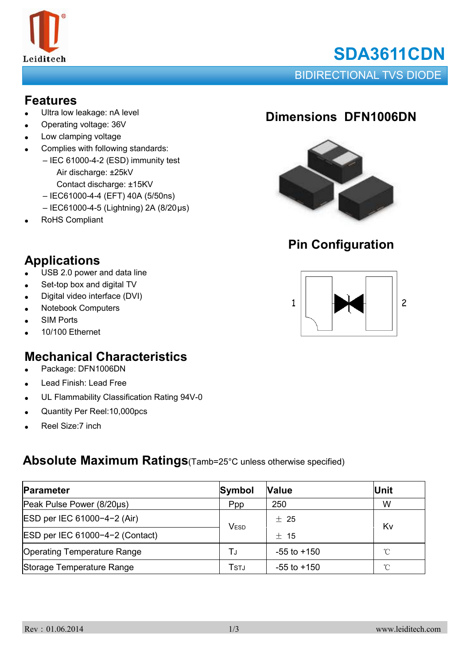

# **SDA3611CDN**

BIDIRECTIONAL TVS DIODE

#### **Features**

- Ultra low leakage: nA level
- Operating voltage: 36V
- Low clamping voltage
- Complies with following standards:
	- IEC 61000-4-2 (ESD) immunity test Air discharge: ±25kV
		- Contact discharge: ±15KV
		- IEC61000-4-4 (EFT) 40A (5/50ns)
		- IEC61000-4-5 (Lightning) 2A (8/20μs)
- RoHS Compliant

**Applications**

## **Dimensions DFN1006DN**



## **Pin Configuration**



#### • Digital video interface (DVI)

 $\bullet$  USB 2.0 power and data line • Set-top box and digital TV

- **Notebook Computers**
- **SIM Ports**
- 10/100 Ethernet

## **Mechanical Characteristics**

- Package: DFN1006DN
- Lead Finish: Lead Free
- UL Flammability Classification Rating 94V-0
- Quantity Per Reel:10,000pcs
- Reel Size:7 inch

#### **Absolute Maximum Ratings**(Tamb=25°C unless otherwise specified)

| Parameter                          | Symbol      | <b>Value</b>    | <b>Unit</b>  |
|------------------------------------|-------------|-----------------|--------------|
| Peak Pulse Power (8/20µs)          | Ppp         | 250             | W            |
| ESD per IEC 61000-4-2 (Air)        | <b>VESD</b> | $+25$           | Kv           |
| ESD per IEC 61000-4-2 (Contact)    |             | $±$ 15          |              |
| <b>Operating Temperature Range</b> | T.ı         | $-55$ to $+150$ | $^{\circ}$ C |
| Storage Temperature Range          | Tstj        | $-55$ to $+150$ | $^{\circ}$ C |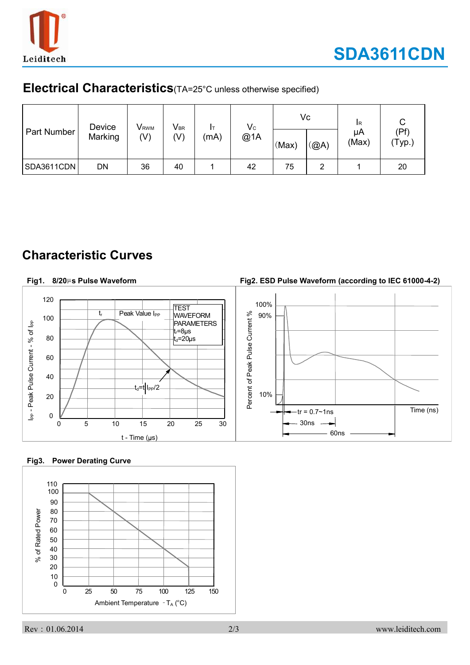

### **Electrical Characteristics**(TA=25°C unless otherwise specified)

| Part Number | Device<br>Marking | <b>V</b> <sub>RWM</sub><br>$(\vee)$ | $V_{\text{BR}}$<br>(V) | Iτ<br>(mA) | $\mathsf{V}\mathrm{c}$<br>@1A | Vc<br>(Max) | (@A) | <b>IR</b><br>μA<br>(Max) | (Pf<br>'Typ.) |
|-------------|-------------------|-------------------------------------|------------------------|------------|-------------------------------|-------------|------|--------------------------|---------------|
| SDA3611CDN  | DN                | 36                                  | 40                     |            | 42                            | 75          | 2    |                          | 20            |

## **Characteristic Curves**

#### **Fig2. ESD Pulse Waveform (according to IEC 61000-4-2) Fig1. 8/20**µ**s Pulse Waveform** 120 100% **TEST** Peak Value I<sub>PP</sub> t<sub>r</sub> Percent of Peak Pulse Current % 90% WAVEFORM Percent of Peak Pulse Current % 100 I<sub>PP</sub> - Peak Pulse Current - % of I<sub>PP</sub> **PARAMETERS** I<sub>PP</sub> - Peak Pulse Current - % of I<sub>PP</sub>  $t_r = 8 \mu s$ 80  $t_{d}$ =20 $\mu$ s 60 40  $t_d$ =t I<sub>PP</sub>/2 10% 20  $-{\rm tr} = 0.7 \sim 1$ ns  $\vert$  Time (ns) 0 30ns 0 5 10 15 20 25 30 60ns  $t - Time (µs)$